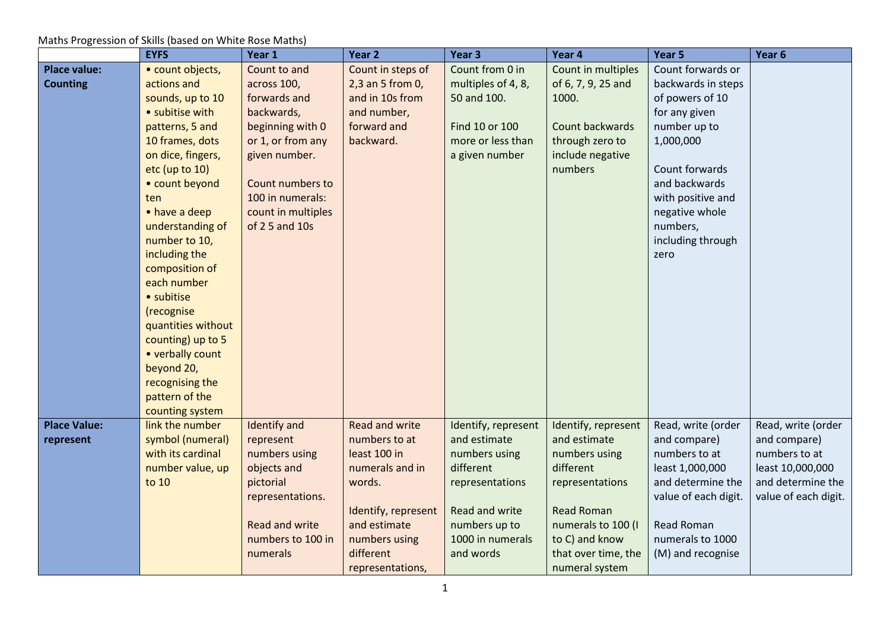|                     | <b>EYFS</b>        | Year 1              | Year 2                | Year <sub>3</sub>   | Year 4              | Year 5               | Year <sub>6</sub>    |
|---------------------|--------------------|---------------------|-----------------------|---------------------|---------------------|----------------------|----------------------|
| <b>Place value:</b> | • count objects,   | Count to and        | Count in steps of     | Count from 0 in     | Count in multiples  | Count forwards or    |                      |
| <b>Counting</b>     | actions and        | across 100,         | 2,3 an 5 from 0,      | multiples of 4, 8,  | of 6, 7, 9, 25 and  | backwards in steps   |                      |
|                     | sounds, up to 10   | forwards and        | and in 10s from       | 50 and 100.         | 1000.               | of powers of 10      |                      |
|                     | • subitise with    | backwards,          | and number,           |                     |                     | for any given        |                      |
|                     | patterns, 5 and    | beginning with 0    | forward and           | Find 10 or 100      | Count backwards     | number up to         |                      |
|                     | 10 frames, dots    | or 1, or from any   | backward.             | more or less than   | through zero to     | 1,000,000            |                      |
|                     | on dice, fingers,  | given number.       |                       | a given number      | include negative    |                      |                      |
|                     | etc (up to 10)     |                     |                       |                     | numbers             | Count forwards       |                      |
|                     | • count beyond     | Count numbers to    |                       |                     |                     | and backwards        |                      |
|                     | ten                | 100 in numerals:    |                       |                     |                     | with positive and    |                      |
|                     | • have a deep      | count in multiples  |                       |                     |                     | negative whole       |                      |
|                     | understanding of   | of 2 5 and 10s      |                       |                     |                     | numbers,             |                      |
|                     | number to 10,      |                     |                       |                     |                     | including through    |                      |
|                     | including the      |                     |                       |                     |                     | zero                 |                      |
|                     | composition of     |                     |                       |                     |                     |                      |                      |
|                     | each number        |                     |                       |                     |                     |                      |                      |
|                     | · subitise         |                     |                       |                     |                     |                      |                      |
|                     | (recognise         |                     |                       |                     |                     |                      |                      |
|                     | quantities without |                     |                       |                     |                     |                      |                      |
|                     | counting) up to 5  |                     |                       |                     |                     |                      |                      |
|                     | • verbally count   |                     |                       |                     |                     |                      |                      |
|                     | beyond 20,         |                     |                       |                     |                     |                      |                      |
|                     | recognising the    |                     |                       |                     |                     |                      |                      |
|                     | pattern of the     |                     |                       |                     |                     |                      |                      |
|                     | counting system    |                     |                       |                     |                     |                      |                      |
| <b>Place Value:</b> | link the number    | <b>Identify and</b> | <b>Read and write</b> | Identify, represent | Identify, represent | Read, write (order   | Read, write (order   |
| represent           | symbol (numeral)   | represent           | numbers to at         | and estimate        | and estimate        | and compare)         | and compare)         |
|                     | with its cardinal  | numbers using       | least 100 in          | numbers using       | numbers using       | numbers to at        | numbers to at        |
|                     | number value, up   | objects and         | numerals and in       | different           | different           | least 1,000,000      | least 10,000,000     |
|                     | to 10              | pictorial           | words.                | representations     | representations     | and determine the    | and determine the    |
|                     |                    | representations.    |                       |                     |                     | value of each digit. | value of each digit. |
|                     |                    |                     | Identify, represent   | Read and write      | <b>Read Roman</b>   |                      |                      |
|                     |                    | Read and write      | and estimate          | numbers up to       | numerals to 100 (I  | <b>Read Roman</b>    |                      |
|                     |                    | numbers to 100 in   | numbers using         | 1000 in numerals    | to C) and know      | numerals to 1000     |                      |
|                     |                    | numerals            | different             | and words           | that over time, the | (M) and recognise    |                      |
|                     |                    |                     | representations,      |                     | numeral system      |                      |                      |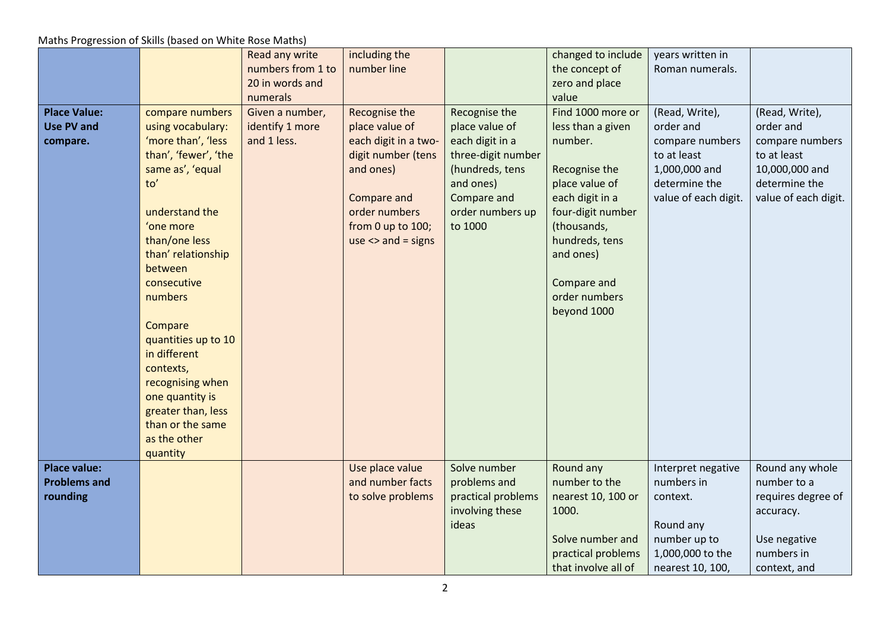|                                                        |                                                                                                                                                                                                                                                                                                                                                                          | Read any write<br>numbers from 1 to<br>20 in words and        | including the<br>number line                                                                                                                                              |                                                                                                                                                        | changed to include<br>the concept of<br>zero and place                                                                                                                                                                             | years written in<br>Roman numerals.                                                                                     |                                                                                                                          |
|--------------------------------------------------------|--------------------------------------------------------------------------------------------------------------------------------------------------------------------------------------------------------------------------------------------------------------------------------------------------------------------------------------------------------------------------|---------------------------------------------------------------|---------------------------------------------------------------------------------------------------------------------------------------------------------------------------|--------------------------------------------------------------------------------------------------------------------------------------------------------|------------------------------------------------------------------------------------------------------------------------------------------------------------------------------------------------------------------------------------|-------------------------------------------------------------------------------------------------------------------------|--------------------------------------------------------------------------------------------------------------------------|
| <b>Place Value:</b><br><b>Use PV and</b><br>compare.   | compare numbers<br>using vocabulary:<br>'more than', 'less<br>than', 'fewer', 'the<br>same as', 'equal<br>to'<br>understand the<br>'one more<br>than/one less<br>than' relationship<br>between<br>consecutive<br>numbers<br>Compare<br>quantities up to 10<br>in different<br>contexts,<br>recognising when<br>one quantity is<br>greater than, less<br>than or the same | numerals<br>Given a number,<br>identify 1 more<br>and 1 less. | Recognise the<br>place value of<br>each digit in a two-<br>digit number (tens<br>and ones)<br>Compare and<br>order numbers<br>from 0 up to 100;<br>$use \leq and = signs$ | Recognise the<br>place value of<br>each digit in a<br>three-digit number<br>(hundreds, tens<br>and ones)<br>Compare and<br>order numbers up<br>to 1000 | value<br>Find 1000 more or<br>less than a given<br>number.<br>Recognise the<br>place value of<br>each digit in a<br>four-digit number<br>(thousands,<br>hundreds, tens<br>and ones)<br>Compare and<br>order numbers<br>beyond 1000 | (Read, Write),<br>order and<br>compare numbers<br>to at least<br>1,000,000 and<br>determine the<br>value of each digit. | (Read, Write),<br>order and<br>compare numbers<br>to at least<br>10,000,000 and<br>determine the<br>value of each digit. |
|                                                        | as the other<br>quantity                                                                                                                                                                                                                                                                                                                                                 |                                                               |                                                                                                                                                                           |                                                                                                                                                        |                                                                                                                                                                                                                                    |                                                                                                                         |                                                                                                                          |
| <b>Place value:</b><br><b>Problems and</b><br>rounding |                                                                                                                                                                                                                                                                                                                                                                          |                                                               | Use place value<br>and number facts<br>to solve problems                                                                                                                  | Solve number<br>problems and<br>practical problems<br>involving these<br>ideas                                                                         | Round any<br>number to the<br>nearest 10, 100 or<br>1000.<br>Solve number and<br>practical problems<br>that involve all of                                                                                                         | Interpret negative<br>numbers in<br>context.<br>Round any<br>number up to<br>1,000,000 to the<br>nearest 10, 100,       | Round any whole<br>number to a<br>requires degree of<br>accuracy.<br>Use negative<br>numbers in<br>context, and          |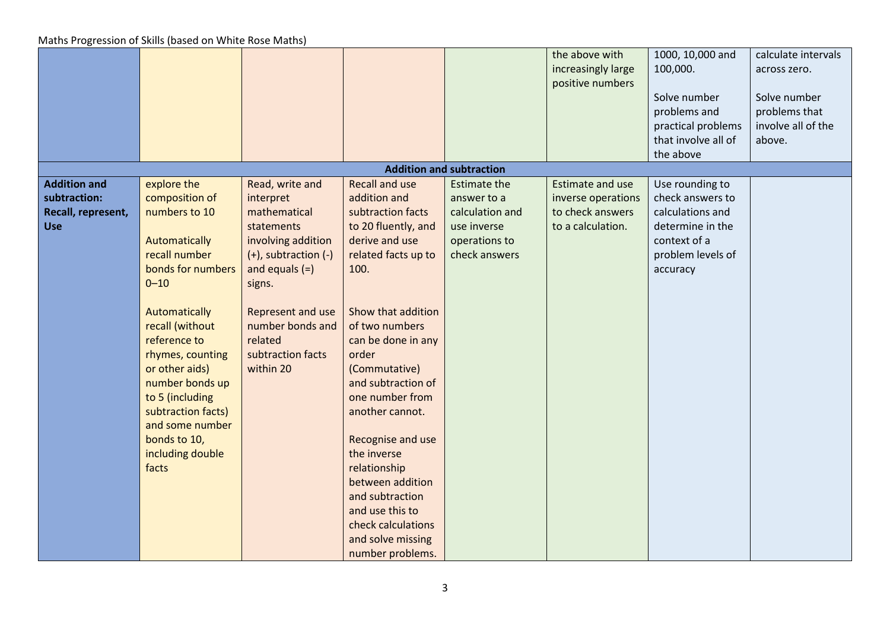|                     |                    |                      |                       |                                 | the above with          | 1000, 10,000 and    | calculate intervals |
|---------------------|--------------------|----------------------|-----------------------|---------------------------------|-------------------------|---------------------|---------------------|
|                     |                    |                      |                       |                                 | increasingly large      | 100,000.            | across zero.        |
|                     |                    |                      |                       |                                 | positive numbers        |                     |                     |
|                     |                    |                      |                       |                                 |                         | Solve number        | Solve number        |
|                     |                    |                      |                       |                                 |                         | problems and        | problems that       |
|                     |                    |                      |                       |                                 |                         | practical problems  | involve all of the  |
|                     |                    |                      |                       |                                 |                         | that involve all of | above.              |
|                     |                    |                      |                       |                                 |                         | the above           |                     |
|                     |                    |                      |                       | <b>Addition and subtraction</b> |                         |                     |                     |
| <b>Addition and</b> | explore the        | Read, write and      | <b>Recall and use</b> | <b>Estimate the</b>             | <b>Estimate and use</b> | Use rounding to     |                     |
| subtraction:        | composition of     | interpret            | addition and          | answer to a                     | inverse operations      | check answers to    |                     |
| Recall, represent,  | numbers to 10      | mathematical         | subtraction facts     | calculation and                 | to check answers        | calculations and    |                     |
| <b>Use</b>          |                    | statements           | to 20 fluently, and   | use inverse                     | to a calculation.       | determine in the    |                     |
|                     | Automatically      | involving addition   | derive and use        | operations to                   |                         | context of a        |                     |
|                     | recall number      | (+), subtraction (-) | related facts up to   | check answers                   |                         | problem levels of   |                     |
|                     | bonds for numbers  | and equals $(=)$     | 100.                  |                                 |                         | accuracy            |                     |
|                     | $0 - 10$           | signs.               |                       |                                 |                         |                     |                     |
|                     |                    |                      |                       |                                 |                         |                     |                     |
|                     | Automatically      | Represent and use    | Show that addition    |                                 |                         |                     |                     |
|                     | recall (without    | number bonds and     | of two numbers        |                                 |                         |                     |                     |
|                     | reference to       | related              | can be done in any    |                                 |                         |                     |                     |
|                     | rhymes, counting   | subtraction facts    | order                 |                                 |                         |                     |                     |
|                     | or other aids)     | within 20            | (Commutative)         |                                 |                         |                     |                     |
|                     | number bonds up    |                      | and subtraction of    |                                 |                         |                     |                     |
|                     | to 5 (including    |                      | one number from       |                                 |                         |                     |                     |
|                     | subtraction facts) |                      | another cannot.       |                                 |                         |                     |                     |
|                     | and some number    |                      |                       |                                 |                         |                     |                     |
|                     | bonds to 10,       |                      | Recognise and use     |                                 |                         |                     |                     |
|                     | including double   |                      | the inverse           |                                 |                         |                     |                     |
|                     | facts              |                      | relationship          |                                 |                         |                     |                     |
|                     |                    |                      | between addition      |                                 |                         |                     |                     |
|                     |                    |                      | and subtraction       |                                 |                         |                     |                     |
|                     |                    |                      | and use this to       |                                 |                         |                     |                     |
|                     |                    |                      | check calculations    |                                 |                         |                     |                     |
|                     |                    |                      | and solve missing     |                                 |                         |                     |                     |
|                     |                    |                      | number problems.      |                                 |                         |                     |                     |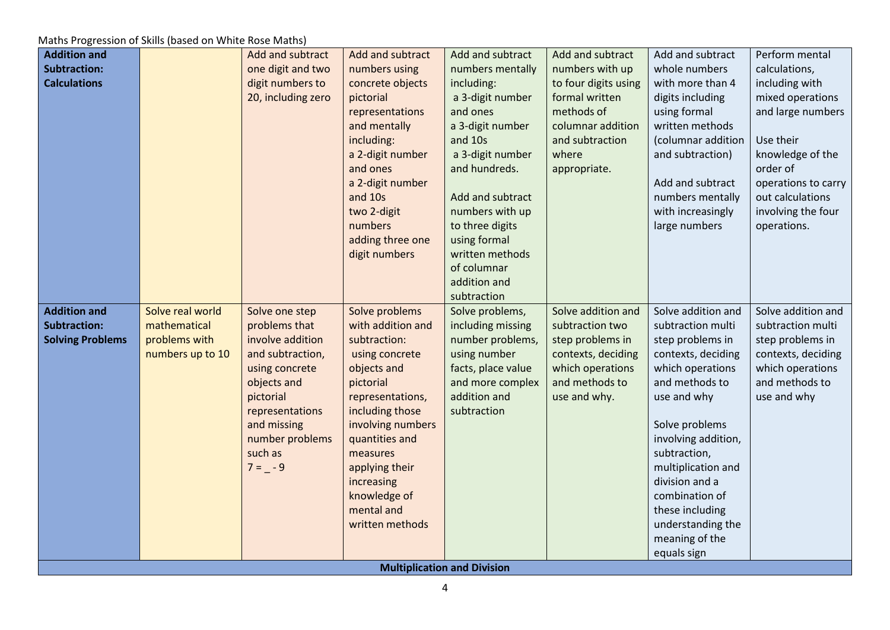| <b>Addition and</b>     |                  | Add and subtract   | Add and subtract  | Add and subtract                   | Add and subtract     | Add and subtract    | Perform mental      |
|-------------------------|------------------|--------------------|-------------------|------------------------------------|----------------------|---------------------|---------------------|
| <b>Subtraction:</b>     |                  | one digit and two  | numbers using     | numbers mentally                   | numbers with up      | whole numbers       | calculations,       |
| <b>Calculations</b>     |                  | digit numbers to   | concrete objects  | including:                         | to four digits using | with more than 4    | including with      |
|                         |                  | 20, including zero | pictorial         | a 3-digit number                   | formal written       | digits including    | mixed operations    |
|                         |                  |                    | representations   | and ones                           | methods of           | using formal        | and large numbers   |
|                         |                  |                    | and mentally      | a 3-digit number                   | columnar addition    | written methods     |                     |
|                         |                  |                    | including:        | and 10s                            | and subtraction      | (columnar addition  | Use their           |
|                         |                  |                    | a 2-digit number  | a 3-digit number                   | where                | and subtraction)    | knowledge of the    |
|                         |                  |                    | and ones          | and hundreds.                      | appropriate.         |                     | order of            |
|                         |                  |                    | a 2-digit number  |                                    |                      | Add and subtract    | operations to carry |
|                         |                  |                    | and 10s           | Add and subtract                   |                      | numbers mentally    | out calculations    |
|                         |                  |                    | two 2-digit       | numbers with up                    |                      | with increasingly   | involving the four  |
|                         |                  |                    | numbers           | to three digits                    |                      | large numbers       | operations.         |
|                         |                  |                    | adding three one  | using formal                       |                      |                     |                     |
|                         |                  |                    | digit numbers     | written methods                    |                      |                     |                     |
|                         |                  |                    |                   | of columnar                        |                      |                     |                     |
|                         |                  |                    |                   | addition and                       |                      |                     |                     |
|                         |                  |                    |                   | subtraction                        |                      |                     |                     |
| <b>Addition and</b>     | Solve real world | Solve one step     | Solve problems    | Solve problems,                    | Solve addition and   | Solve addition and  | Solve addition and  |
| <b>Subtraction:</b>     | mathematical     | problems that      | with addition and | including missing                  | subtraction two      | subtraction multi   | subtraction multi   |
| <b>Solving Problems</b> | problems with    | involve addition   | subtraction:      | number problems,                   | step problems in     | step problems in    | step problems in    |
|                         | numbers up to 10 | and subtraction,   | using concrete    | using number                       | contexts, deciding   | contexts, deciding  | contexts, deciding  |
|                         |                  | using concrete     | objects and       | facts, place value                 | which operations     | which operations    | which operations    |
|                         |                  | objects and        | pictorial         | and more complex                   | and methods to       | and methods to      | and methods to      |
|                         |                  | pictorial          | representations,  | addition and                       | use and why.         | use and why         | use and why         |
|                         |                  | representations    | including those   | subtraction                        |                      |                     |                     |
|                         |                  | and missing        | involving numbers |                                    |                      | Solve problems      |                     |
|                         |                  | number problems    | quantities and    |                                    |                      | involving addition, |                     |
|                         |                  | such as            | measures          |                                    |                      | subtraction,        |                     |
|                         |                  | $7 = -9$           | applying their    |                                    |                      | multiplication and  |                     |
|                         |                  |                    | increasing        |                                    |                      | division and a      |                     |
|                         |                  |                    | knowledge of      |                                    |                      | combination of      |                     |
|                         |                  |                    | mental and        |                                    |                      | these including     |                     |
|                         |                  |                    | written methods   |                                    |                      | understanding the   |                     |
|                         |                  |                    |                   |                                    |                      | meaning of the      |                     |
|                         |                  |                    |                   |                                    |                      | equals sign         |                     |
|                         |                  |                    |                   | <b>Multiplication and Division</b> |                      |                     |                     |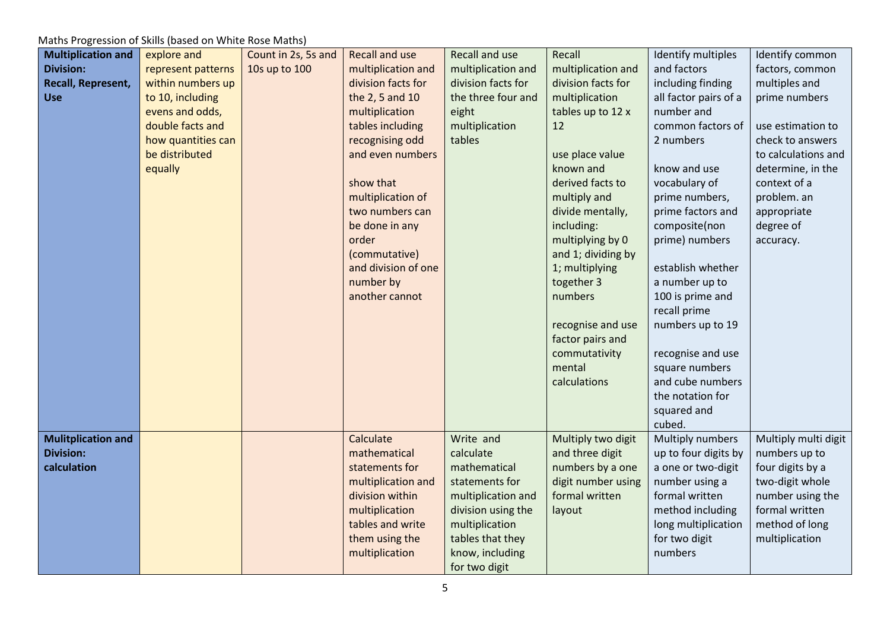| <b>Multiplication and</b> | explore and        | Count in 2s, 5s and | Recall and use      | Recall and use     | Recall             | Identify multiples    | Identify common      |
|---------------------------|--------------------|---------------------|---------------------|--------------------|--------------------|-----------------------|----------------------|
| <b>Division:</b>          | represent patterns | 10s up to 100       | multiplication and  | multiplication and | multiplication and | and factors           | factors, common      |
| Recall, Represent,        | within numbers up  |                     | division facts for  | division facts for | division facts for | including finding     | multiples and        |
| <b>Use</b>                | to 10, including   |                     | the 2, 5 and 10     | the three four and | multiplication     | all factor pairs of a | prime numbers        |
|                           |                    |                     |                     |                    |                    |                       |                      |
|                           | evens and odds,    |                     | multiplication      | eight              | tables up to 12 x  | number and            |                      |
|                           | double facts and   |                     | tables including    | multiplication     | 12                 | common factors of     | use estimation to    |
|                           | how quantities can |                     | recognising odd     | tables             |                    | 2 numbers             | check to answers     |
|                           | be distributed     |                     | and even numbers    |                    | use place value    |                       | to calculations and  |
|                           | equally            |                     |                     |                    | known and          | know and use          | determine, in the    |
|                           |                    |                     | show that           |                    | derived facts to   | vocabulary of         | context of a         |
|                           |                    |                     | multiplication of   |                    | multiply and       | prime numbers,        | problem. an          |
|                           |                    |                     | two numbers can     |                    | divide mentally,   | prime factors and     | appropriate          |
|                           |                    |                     | be done in any      |                    | including:         | composite(non         | degree of            |
|                           |                    |                     | order               |                    | multiplying by 0   | prime) numbers        | accuracy.            |
|                           |                    |                     | (commutative)       |                    | and 1; dividing by |                       |                      |
|                           |                    |                     | and division of one |                    | 1; multiplying     | establish whether     |                      |
|                           |                    |                     | number by           |                    | together 3         | a number up to        |                      |
|                           |                    |                     | another cannot      |                    | numbers            | 100 is prime and      |                      |
|                           |                    |                     |                     |                    |                    | recall prime          |                      |
|                           |                    |                     |                     |                    | recognise and use  | numbers up to 19      |                      |
|                           |                    |                     |                     |                    | factor pairs and   |                       |                      |
|                           |                    |                     |                     |                    | commutativity      | recognise and use     |                      |
|                           |                    |                     |                     |                    | mental             | square numbers        |                      |
|                           |                    |                     |                     |                    | calculations       | and cube numbers      |                      |
|                           |                    |                     |                     |                    |                    | the notation for      |                      |
|                           |                    |                     |                     |                    |                    |                       |                      |
|                           |                    |                     |                     |                    |                    | squared and           |                      |
|                           |                    |                     |                     |                    |                    | cubed.                |                      |
| <b>Mulitplication and</b> |                    |                     | Calculate           | Write and          | Multiply two digit | Multiply numbers      | Multiply multi digit |
| <b>Division:</b>          |                    |                     | mathematical        | calculate          | and three digit    | up to four digits by  | numbers up to        |
| calculation               |                    |                     | statements for      | mathematical       | numbers by a one   | a one or two-digit    | four digits by a     |
|                           |                    |                     | multiplication and  | statements for     | digit number using | number using a        | two-digit whole      |
|                           |                    |                     | division within     | multiplication and | formal written     | formal written        | number using the     |
|                           |                    |                     | multiplication      | division using the | layout             | method including      | formal written       |
|                           |                    |                     | tables and write    | multiplication     |                    | long multiplication   | method of long       |
|                           |                    |                     | them using the      | tables that they   |                    | for two digit         | multiplication       |
|                           |                    |                     | multiplication      | know, including    |                    | numbers               |                      |
|                           |                    |                     |                     | for two digit      |                    |                       |                      |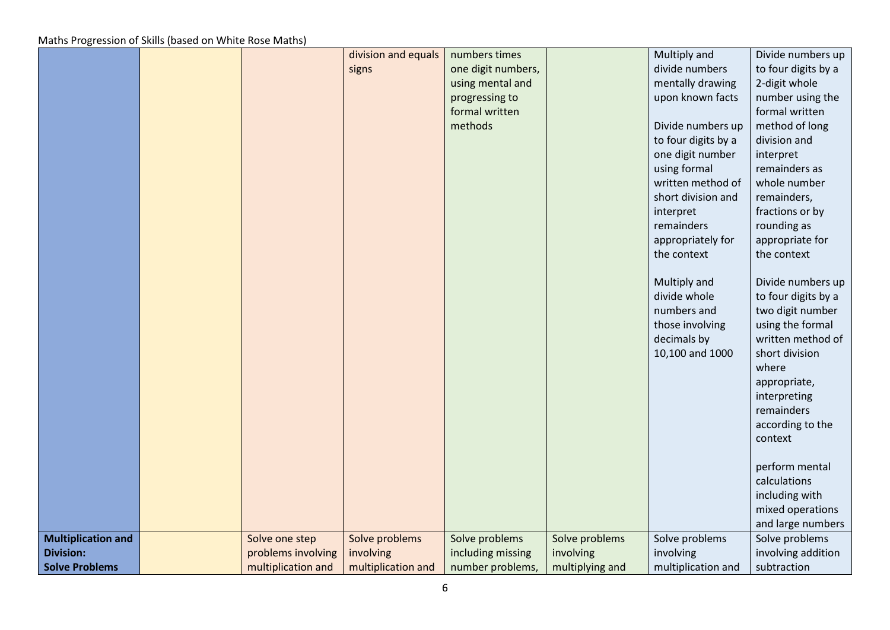|                           |                    | division and equals | numbers times      |                 | Multiply and        | Divide numbers up   |
|---------------------------|--------------------|---------------------|--------------------|-----------------|---------------------|---------------------|
|                           |                    | signs               | one digit numbers, |                 | divide numbers      | to four digits by a |
|                           |                    |                     | using mental and   |                 | mentally drawing    | 2-digit whole       |
|                           |                    |                     | progressing to     |                 | upon known facts    | number using the    |
|                           |                    |                     | formal written     |                 |                     | formal written      |
|                           |                    |                     | methods            |                 | Divide numbers up   | method of long      |
|                           |                    |                     |                    |                 | to four digits by a | division and        |
|                           |                    |                     |                    |                 | one digit number    | interpret           |
|                           |                    |                     |                    |                 | using formal        | remainders as       |
|                           |                    |                     |                    |                 | written method of   | whole number        |
|                           |                    |                     |                    |                 | short division and  | remainders,         |
|                           |                    |                     |                    |                 | interpret           | fractions or by     |
|                           |                    |                     |                    |                 | remainders          | rounding as         |
|                           |                    |                     |                    |                 | appropriately for   | appropriate for     |
|                           |                    |                     |                    |                 | the context         | the context         |
|                           |                    |                     |                    |                 |                     |                     |
|                           |                    |                     |                    |                 | Multiply and        | Divide numbers up   |
|                           |                    |                     |                    |                 | divide whole        | to four digits by a |
|                           |                    |                     |                    |                 | numbers and         | two digit number    |
|                           |                    |                     |                    |                 | those involving     | using the formal    |
|                           |                    |                     |                    |                 | decimals by         | written method of   |
|                           |                    |                     |                    |                 | 10,100 and 1000     | short division      |
|                           |                    |                     |                    |                 |                     | where               |
|                           |                    |                     |                    |                 |                     | appropriate,        |
|                           |                    |                     |                    |                 |                     | interpreting        |
|                           |                    |                     |                    |                 |                     | remainders          |
|                           |                    |                     |                    |                 |                     | according to the    |
|                           |                    |                     |                    |                 |                     | context             |
|                           |                    |                     |                    |                 |                     |                     |
|                           |                    |                     |                    |                 |                     | perform mental      |
|                           |                    |                     |                    |                 |                     | calculations        |
|                           |                    |                     |                    |                 |                     | including with      |
|                           |                    |                     |                    |                 |                     | mixed operations    |
|                           |                    |                     |                    |                 |                     | and large numbers   |
| <b>Multiplication and</b> | Solve one step     | Solve problems      | Solve problems     | Solve problems  | Solve problems      | Solve problems      |
| <b>Division:</b>          | problems involving | involving           | including missing  | involving       | involving           | involving addition  |
| <b>Solve Problems</b>     | multiplication and | multiplication and  | number problems,   | multiplying and | multiplication and  | subtraction         |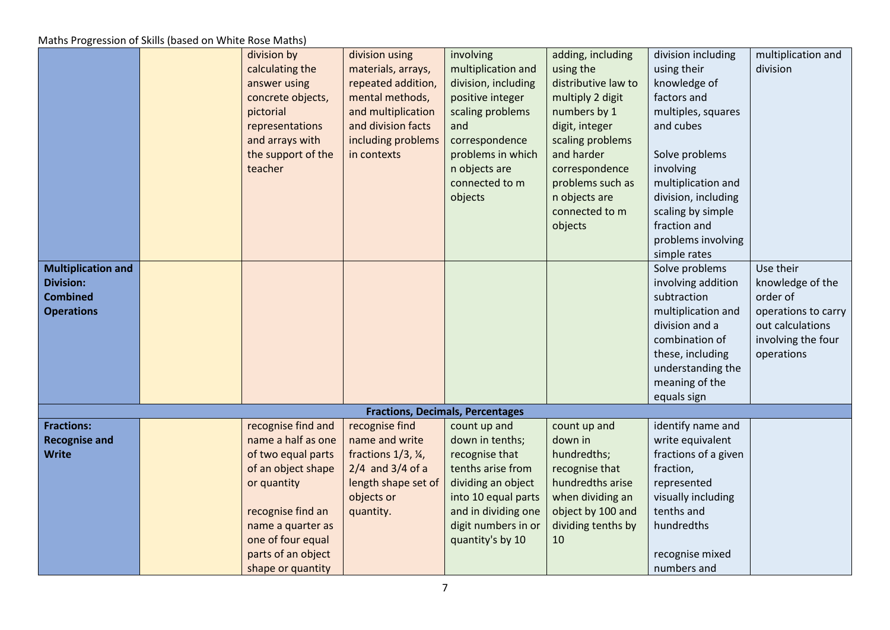| <b>Multiplication and</b><br><b>Division:</b><br><b>Combined</b><br><b>Operations</b> | division by<br>calculating the<br>answer using<br>concrete objects,<br>pictorial<br>representations<br>and arrays with<br>the support of the<br>teacher | division using<br>materials, arrays,<br>repeated addition,<br>mental methods,<br>and multiplication<br>and division facts<br>including problems<br>in contexts | involving<br>multiplication and<br>division, including<br>positive integer<br>scaling problems<br>and<br>correspondence<br>problems in which<br>n objects are<br>connected to m<br>objects | adding, including<br>using the<br>distributive law to<br>multiply 2 digit<br>numbers by 1<br>digit, integer<br>scaling problems<br>and harder<br>correspondence<br>problems such as<br>n objects are<br>connected to m<br>objects | division including<br>using their<br>knowledge of<br>factors and<br>multiples, squares<br>and cubes<br>Solve problems<br>involving<br>multiplication and<br>division, including<br>scaling by simple<br>fraction and<br>problems involving<br>simple rates<br>Solve problems<br>involving addition<br>subtraction<br>multiplication and | multiplication and<br>division<br>Use their<br>knowledge of the<br>order of<br>operations to carry |
|---------------------------------------------------------------------------------------|---------------------------------------------------------------------------------------------------------------------------------------------------------|----------------------------------------------------------------------------------------------------------------------------------------------------------------|--------------------------------------------------------------------------------------------------------------------------------------------------------------------------------------------|-----------------------------------------------------------------------------------------------------------------------------------------------------------------------------------------------------------------------------------|-----------------------------------------------------------------------------------------------------------------------------------------------------------------------------------------------------------------------------------------------------------------------------------------------------------------------------------------|----------------------------------------------------------------------------------------------------|
|                                                                                       |                                                                                                                                                         |                                                                                                                                                                |                                                                                                                                                                                            |                                                                                                                                                                                                                                   | division and a<br>combination of<br>these, including<br>understanding the<br>meaning of the<br>equals sign                                                                                                                                                                                                                              | out calculations<br>involving the four<br>operations                                               |
|                                                                                       |                                                                                                                                                         |                                                                                                                                                                | <b>Fractions, Decimals, Percentages</b>                                                                                                                                                    |                                                                                                                                                                                                                                   |                                                                                                                                                                                                                                                                                                                                         |                                                                                                    |
| <b>Fractions:</b>                                                                     | recognise find and                                                                                                                                      | recognise find                                                                                                                                                 | count up and                                                                                                                                                                               | count up and                                                                                                                                                                                                                      | identify name and                                                                                                                                                                                                                                                                                                                       |                                                                                                    |
| <b>Recognise and</b>                                                                  | name a half as one                                                                                                                                      | name and write                                                                                                                                                 | down in tenths;                                                                                                                                                                            | down in                                                                                                                                                                                                                           | write equivalent                                                                                                                                                                                                                                                                                                                        |                                                                                                    |
| <b>Write</b>                                                                          | of two equal parts                                                                                                                                      | fractions 1/3, 1/4,                                                                                                                                            | recognise that                                                                                                                                                                             | hundredths;                                                                                                                                                                                                                       | fractions of a given                                                                                                                                                                                                                                                                                                                    |                                                                                                    |
|                                                                                       | of an object shape                                                                                                                                      | $2/4$ and $3/4$ of a                                                                                                                                           | tenths arise from                                                                                                                                                                          | recognise that                                                                                                                                                                                                                    | fraction,                                                                                                                                                                                                                                                                                                                               |                                                                                                    |
|                                                                                       | or quantity                                                                                                                                             | length shape set of                                                                                                                                            | dividing an object                                                                                                                                                                         | hundredths arise                                                                                                                                                                                                                  | represented                                                                                                                                                                                                                                                                                                                             |                                                                                                    |
|                                                                                       |                                                                                                                                                         | objects or                                                                                                                                                     | into 10 equal parts                                                                                                                                                                        | when dividing an                                                                                                                                                                                                                  | visually including<br>tenths and                                                                                                                                                                                                                                                                                                        |                                                                                                    |
|                                                                                       | recognise find an<br>name a quarter as                                                                                                                  | quantity.                                                                                                                                                      | and in dividing one<br>digit numbers in or                                                                                                                                                 | object by 100 and<br>dividing tenths by                                                                                                                                                                                           | hundredths                                                                                                                                                                                                                                                                                                                              |                                                                                                    |
|                                                                                       | one of four equal                                                                                                                                       |                                                                                                                                                                | quantity's by 10                                                                                                                                                                           | 10                                                                                                                                                                                                                                |                                                                                                                                                                                                                                                                                                                                         |                                                                                                    |
|                                                                                       | parts of an object                                                                                                                                      |                                                                                                                                                                |                                                                                                                                                                                            |                                                                                                                                                                                                                                   | recognise mixed                                                                                                                                                                                                                                                                                                                         |                                                                                                    |
|                                                                                       | shape or quantity                                                                                                                                       |                                                                                                                                                                |                                                                                                                                                                                            |                                                                                                                                                                                                                                   | numbers and                                                                                                                                                                                                                                                                                                                             |                                                                                                    |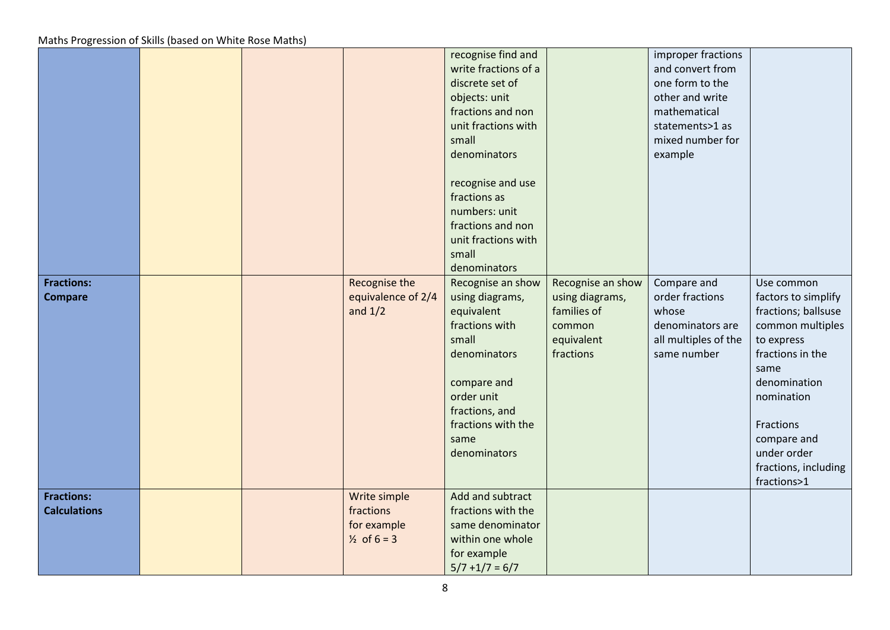|                                          |  |                                                                    | recognise find and<br>write fractions of a<br>discrete set of<br>objects: unit<br>fractions and non<br>unit fractions with                                                                 |                                                                                          | improper fractions<br>and convert from<br>one form to the<br>other and write<br>mathematical<br>statements>1 as |                                                                                                                                                                                                                                        |
|------------------------------------------|--|--------------------------------------------------------------------|--------------------------------------------------------------------------------------------------------------------------------------------------------------------------------------------|------------------------------------------------------------------------------------------|-----------------------------------------------------------------------------------------------------------------|----------------------------------------------------------------------------------------------------------------------------------------------------------------------------------------------------------------------------------------|
|                                          |  |                                                                    | small<br>denominators<br>recognise and use<br>fractions as<br>numbers: unit<br>fractions and non<br>unit fractions with                                                                    |                                                                                          | mixed number for<br>example                                                                                     |                                                                                                                                                                                                                                        |
|                                          |  |                                                                    | small<br>denominators                                                                                                                                                                      |                                                                                          |                                                                                                                 |                                                                                                                                                                                                                                        |
| <b>Fractions:</b><br><b>Compare</b>      |  | Recognise the<br>equivalence of 2/4<br>and $1/2$                   | Recognise an show<br>using diagrams,<br>equivalent<br>fractions with<br>small<br>denominators<br>compare and<br>order unit<br>fractions, and<br>fractions with the<br>same<br>denominators | Recognise an show<br>using diagrams,<br>families of<br>common<br>equivalent<br>fractions | Compare and<br>order fractions<br>whose<br>denominators are<br>all multiples of the<br>same number              | Use common<br>factors to simplify<br>fractions; ballsuse<br>common multiples<br>to express<br>fractions in the<br>same<br>denomination<br>nomination<br>Fractions<br>compare and<br>under order<br>fractions, including<br>fractions>1 |
| <b>Fractions:</b><br><b>Calculations</b> |  | Write simple<br>fractions<br>for example<br>$\frac{1}{2}$ of 6 = 3 | Add and subtract<br>fractions with the<br>same denominator<br>within one whole<br>for example<br>$5/7 + 1/7 = 6/7$                                                                         |                                                                                          |                                                                                                                 |                                                                                                                                                                                                                                        |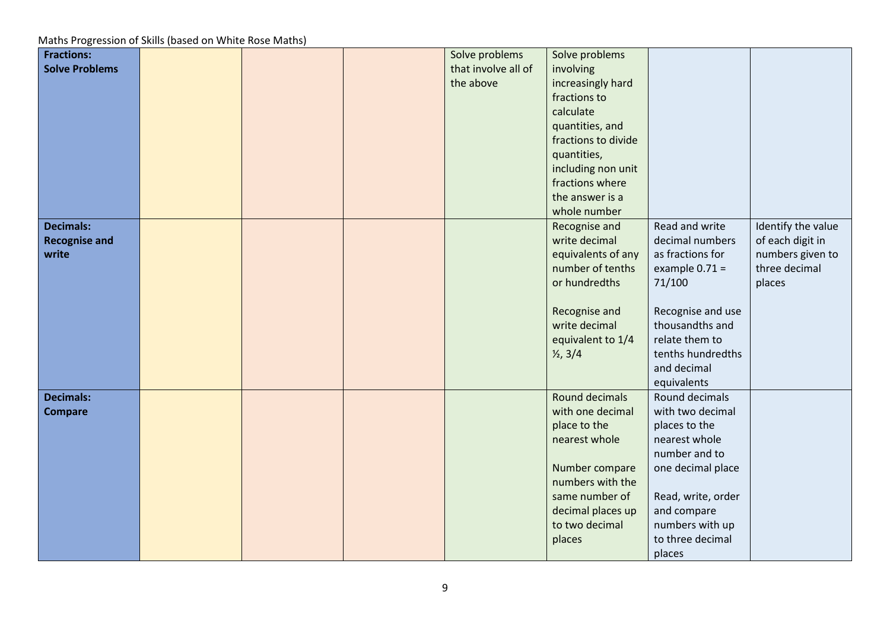| <b>Fractions:</b>     |  | Solve problems      | Solve problems      |                    |                    |
|-----------------------|--|---------------------|---------------------|--------------------|--------------------|
| <b>Solve Problems</b> |  | that involve all of | involving           |                    |                    |
|                       |  | the above           | increasingly hard   |                    |                    |
|                       |  |                     | fractions to        |                    |                    |
|                       |  |                     | calculate           |                    |                    |
|                       |  |                     | quantities, and     |                    |                    |
|                       |  |                     | fractions to divide |                    |                    |
|                       |  |                     | quantities,         |                    |                    |
|                       |  |                     | including non unit  |                    |                    |
|                       |  |                     | fractions where     |                    |                    |
|                       |  |                     | the answer is a     |                    |                    |
|                       |  |                     | whole number        |                    |                    |
| <b>Decimals:</b>      |  |                     | Recognise and       | Read and write     | Identify the value |
| <b>Recognise and</b>  |  |                     | write decimal       | decimal numbers    | of each digit in   |
| write                 |  |                     | equivalents of any  | as fractions for   | numbers given to   |
|                       |  |                     | number of tenths    | example $0.71 =$   | three decimal      |
|                       |  |                     | or hundredths       | 71/100             | places             |
|                       |  |                     |                     |                    |                    |
|                       |  |                     | Recognise and       | Recognise and use  |                    |
|                       |  |                     | write decimal       | thousandths and    |                    |
|                       |  |                     | equivalent to 1/4   | relate them to     |                    |
|                       |  |                     | $\frac{1}{2}$ , 3/4 | tenths hundredths  |                    |
|                       |  |                     |                     | and decimal        |                    |
|                       |  |                     |                     | equivalents        |                    |
| <b>Decimals:</b>      |  |                     | Round decimals      | Round decimals     |                    |
| <b>Compare</b>        |  |                     | with one decimal    | with two decimal   |                    |
|                       |  |                     | place to the        | places to the      |                    |
|                       |  |                     | nearest whole       | nearest whole      |                    |
|                       |  |                     |                     | number and to      |                    |
|                       |  |                     | Number compare      | one decimal place  |                    |
|                       |  |                     | numbers with the    |                    |                    |
|                       |  |                     | same number of      | Read, write, order |                    |
|                       |  |                     | decimal places up   | and compare        |                    |
|                       |  |                     | to two decimal      | numbers with up    |                    |
|                       |  |                     | places              | to three decimal   |                    |
|                       |  |                     |                     | places             |                    |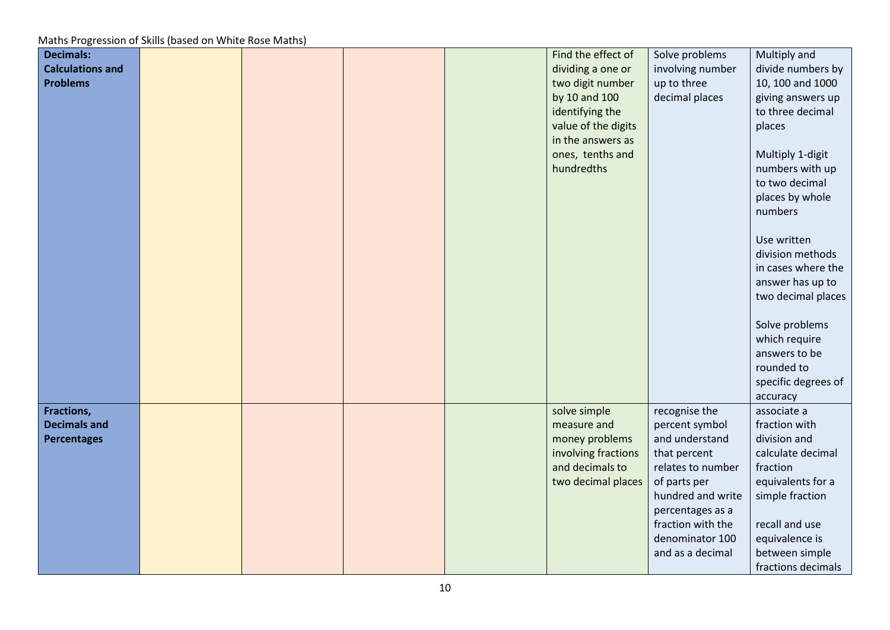| <b>Decimals:</b>        |  |  | Find the effect of  | Solve problems                        | Multiply and        |
|-------------------------|--|--|---------------------|---------------------------------------|---------------------|
| <b>Calculations and</b> |  |  | dividing a one or   | involving number                      | divide numbers by   |
| <b>Problems</b>         |  |  | two digit number    | up to three                           | 10, 100 and 1000    |
|                         |  |  | by 10 and 100       | decimal places                        | giving answers up   |
|                         |  |  | identifying the     |                                       | to three decimal    |
|                         |  |  | value of the digits |                                       | places              |
|                         |  |  | in the answers as   |                                       |                     |
|                         |  |  | ones, tenths and    |                                       | Multiply 1-digit    |
|                         |  |  | hundredths          |                                       | numbers with up     |
|                         |  |  |                     |                                       | to two decimal      |
|                         |  |  |                     |                                       | places by whole     |
|                         |  |  |                     |                                       | numbers             |
|                         |  |  |                     |                                       |                     |
|                         |  |  |                     |                                       | Use written         |
|                         |  |  |                     |                                       | division methods    |
|                         |  |  |                     |                                       | in cases where the  |
|                         |  |  |                     |                                       | answer has up to    |
|                         |  |  |                     |                                       | two decimal places  |
|                         |  |  |                     |                                       |                     |
|                         |  |  |                     |                                       | Solve problems      |
|                         |  |  |                     |                                       | which require       |
|                         |  |  |                     |                                       | answers to be       |
|                         |  |  |                     |                                       | rounded to          |
|                         |  |  |                     |                                       | specific degrees of |
|                         |  |  |                     |                                       | accuracy            |
| Fractions,              |  |  | solve simple        | recognise the                         | associate a         |
| <b>Decimals and</b>     |  |  | measure and         | percent symbol                        | fraction with       |
| <b>Percentages</b>      |  |  | money problems      | and understand                        | division and        |
|                         |  |  | involving fractions | that percent                          | calculate decimal   |
|                         |  |  | and decimals to     | relates to number                     | fraction            |
|                         |  |  | two decimal places  | of parts per                          | equivalents for a   |
|                         |  |  |                     | hundred and write                     | simple fraction     |
|                         |  |  |                     |                                       |                     |
|                         |  |  |                     | percentages as a<br>fraction with the | recall and use      |
|                         |  |  |                     |                                       |                     |
|                         |  |  |                     | denominator 100                       | equivalence is      |
|                         |  |  |                     | and as a decimal                      | between simple      |
|                         |  |  |                     |                                       | fractions decimals  |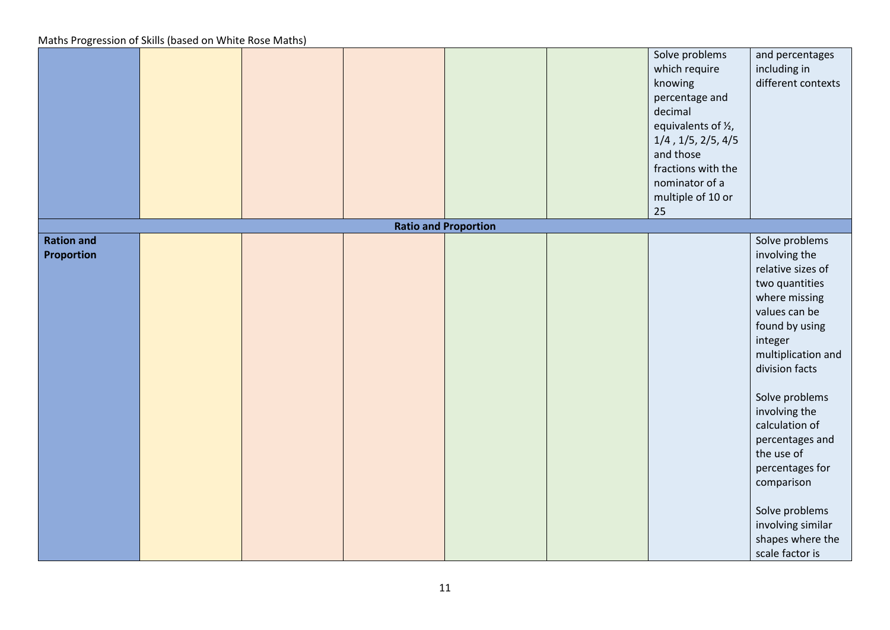|                                        |  |                             | Solve problems<br>which require<br>knowing<br>percentage and<br>decimal<br>equivalents of 1/2,<br>$1/4$ , $1/5$ , $2/5$ , $4/5$<br>and those<br>fractions with the<br>nominator of a<br>multiple of 10 or<br>25 | and percentages<br>including in<br>different contexts                                                                                                                                                                                                                                                                                                                              |
|----------------------------------------|--|-----------------------------|-----------------------------------------------------------------------------------------------------------------------------------------------------------------------------------------------------------------|------------------------------------------------------------------------------------------------------------------------------------------------------------------------------------------------------------------------------------------------------------------------------------------------------------------------------------------------------------------------------------|
|                                        |  | <b>Ratio and Proportion</b> |                                                                                                                                                                                                                 |                                                                                                                                                                                                                                                                                                                                                                                    |
| <b>Ration and</b><br><b>Proportion</b> |  |                             |                                                                                                                                                                                                                 | Solve problems<br>involving the<br>relative sizes of<br>two quantities<br>where missing<br>values can be<br>found by using<br>integer<br>multiplication and<br>division facts<br>Solve problems<br>involving the<br>calculation of<br>percentages and<br>the use of<br>percentages for<br>comparison<br>Solve problems<br>involving similar<br>shapes where the<br>scale factor is |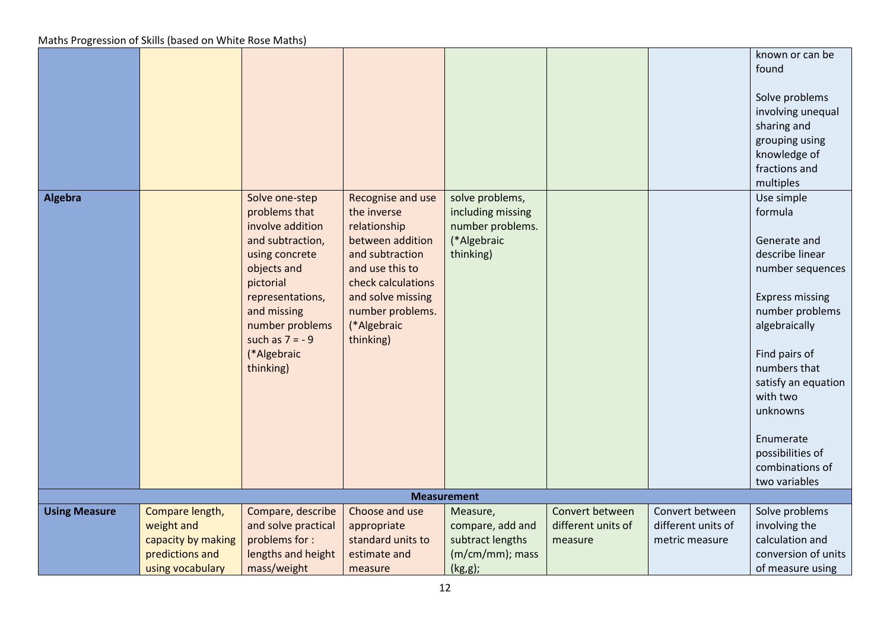|                      |                    |                                                                                                                                                                                                                             |                                                                                                                                                                                                       |                                                                                      |                    |                    | known or can be<br>found<br>Solve problems<br>involving unequal                                                                                                                                                                                             |
|----------------------|--------------------|-----------------------------------------------------------------------------------------------------------------------------------------------------------------------------------------------------------------------------|-------------------------------------------------------------------------------------------------------------------------------------------------------------------------------------------------------|--------------------------------------------------------------------------------------|--------------------|--------------------|-------------------------------------------------------------------------------------------------------------------------------------------------------------------------------------------------------------------------------------------------------------|
|                      |                    |                                                                                                                                                                                                                             |                                                                                                                                                                                                       |                                                                                      |                    |                    | sharing and<br>grouping using<br>knowledge of<br>fractions and<br>multiples                                                                                                                                                                                 |
| Algebra              |                    | Solve one-step<br>problems that<br>involve addition<br>and subtraction,<br>using concrete<br>objects and<br>pictorial<br>representations,<br>and missing<br>number problems<br>such as $7 = -9$<br>(*Algebraic<br>thinking) | Recognise and use<br>the inverse<br>relationship<br>between addition<br>and subtraction<br>and use this to<br>check calculations<br>and solve missing<br>number problems.<br>(*Algebraic<br>thinking) | solve problems,<br>including missing<br>number problems.<br>(*Algebraic<br>thinking) |                    |                    | Use simple<br>formula<br>Generate and<br>describe linear<br>number sequences<br><b>Express missing</b><br>number problems<br>algebraically<br>Find pairs of<br>numbers that<br>satisfy an equation<br>with two<br>unknowns<br>Enumerate<br>possibilities of |
|                      |                    |                                                                                                                                                                                                                             |                                                                                                                                                                                                       |                                                                                      |                    |                    | combinations of<br>two variables                                                                                                                                                                                                                            |
|                      |                    |                                                                                                                                                                                                                             |                                                                                                                                                                                                       | <b>Measurement</b>                                                                   |                    |                    |                                                                                                                                                                                                                                                             |
| <b>Using Measure</b> | Compare length,    | Compare, describe                                                                                                                                                                                                           | Choose and use                                                                                                                                                                                        | Measure,                                                                             | Convert between    | Convert between    | Solve problems                                                                                                                                                                                                                                              |
|                      | weight and         | and solve practical                                                                                                                                                                                                         | appropriate                                                                                                                                                                                           | compare, add and                                                                     | different units of | different units of | involving the                                                                                                                                                                                                                                               |
|                      | capacity by making | problems for :                                                                                                                                                                                                              | standard units to                                                                                                                                                                                     | subtract lengths                                                                     | measure            | metric measure     | calculation and                                                                                                                                                                                                                                             |
|                      | predictions and    | lengths and height                                                                                                                                                                                                          | estimate and                                                                                                                                                                                          | (m/cm/mm); mass                                                                      |                    |                    | conversion of units                                                                                                                                                                                                                                         |
|                      | using vocabulary   | mass/weight                                                                                                                                                                                                                 | measure                                                                                                                                                                                               | (kg,g);                                                                              |                    |                    | of measure using                                                                                                                                                                                                                                            |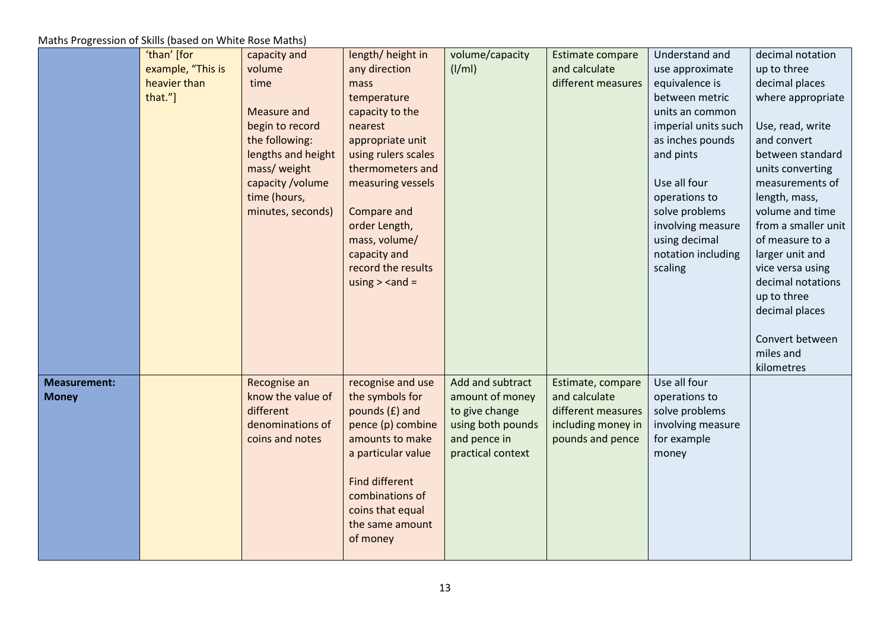|                                     | 'than' [for<br>example, "This is<br>heavier than<br>that."] | capacity and<br>volume<br>time<br><b>Measure and</b><br>begin to record<br>the following:<br>lengths and height<br>mass/ weight<br>capacity /volume<br>time (hours,<br>minutes, seconds) | length/height in<br>any direction<br>mass<br>temperature<br>capacity to the<br>nearest<br>appropriate unit<br>using rulers scales<br>thermometers and<br>measuring vessels<br>Compare and<br>order Length,<br>mass, volume/<br>capacity and<br>record the results<br>using $>$ <and =<="" th=""><th>volume/capacity<br/><math>\frac{1}{m}</math></th><th>Estimate compare<br/>and calculate<br/>different measures</th><th>Understand and<br/>use approximate<br/>equivalence is<br/>between metric<br/>units an common<br/>imperial units such<br/>as inches pounds<br/>and pints<br/>Use all four<br/>operations to<br/>solve problems<br/>involving measure<br/>using decimal<br/>notation including<br/>scaling</th><th>decimal notation<br/>up to three<br/>decimal places<br/>where appropriate<br/>Use, read, write<br/>and convert<br/>between standard<br/>units converting<br/>measurements of<br/>length, mass,<br/>volume and time<br/>from a smaller unit<br/>of measure to a<br/>larger unit and<br/>vice versa using<br/>decimal notations<br/>up to three<br/>decimal places<br/>Convert between</th></and> | volume/capacity<br>$\frac{1}{m}$                                                                                | Estimate compare<br>and calculate<br>different measures                                            | Understand and<br>use approximate<br>equivalence is<br>between metric<br>units an common<br>imperial units such<br>as inches pounds<br>and pints<br>Use all four<br>operations to<br>solve problems<br>involving measure<br>using decimal<br>notation including<br>scaling | decimal notation<br>up to three<br>decimal places<br>where appropriate<br>Use, read, write<br>and convert<br>between standard<br>units converting<br>measurements of<br>length, mass,<br>volume and time<br>from a smaller unit<br>of measure to a<br>larger unit and<br>vice versa using<br>decimal notations<br>up to three<br>decimal places<br>Convert between |
|-------------------------------------|-------------------------------------------------------------|------------------------------------------------------------------------------------------------------------------------------------------------------------------------------------------|-----------------------------------------------------------------------------------------------------------------------------------------------------------------------------------------------------------------------------------------------------------------------------------------------------------------------------------------------------------------------------------------------------------------------------------------------------------------------------------------------------------------------------------------------------------------------------------------------------------------------------------------------------------------------------------------------------------------------------------------------------------------------------------------------------------------------------------------------------------------------------------------------------------------------------------------------------------------------------------------------------------------------------------------------------------------------------------------------------------------------------|-----------------------------------------------------------------------------------------------------------------|----------------------------------------------------------------------------------------------------|----------------------------------------------------------------------------------------------------------------------------------------------------------------------------------------------------------------------------------------------------------------------------|--------------------------------------------------------------------------------------------------------------------------------------------------------------------------------------------------------------------------------------------------------------------------------------------------------------------------------------------------------------------|
| <b>Measurement:</b><br><b>Money</b> |                                                             | Recognise an<br>know the value of<br>different<br>denominations of<br>coins and notes                                                                                                    | recognise and use<br>the symbols for<br>pounds (£) and<br>pence (p) combine<br>amounts to make<br>a particular value<br><b>Find different</b><br>combinations of<br>coins that equal<br>the same amount<br>of money                                                                                                                                                                                                                                                                                                                                                                                                                                                                                                                                                                                                                                                                                                                                                                                                                                                                                                         | Add and subtract<br>amount of money<br>to give change<br>using both pounds<br>and pence in<br>practical context | Estimate, compare<br>and calculate<br>different measures<br>including money in<br>pounds and pence | Use all four<br>operations to<br>solve problems<br>involving measure<br>for example<br>money                                                                                                                                                                               | miles and<br>kilometres                                                                                                                                                                                                                                                                                                                                            |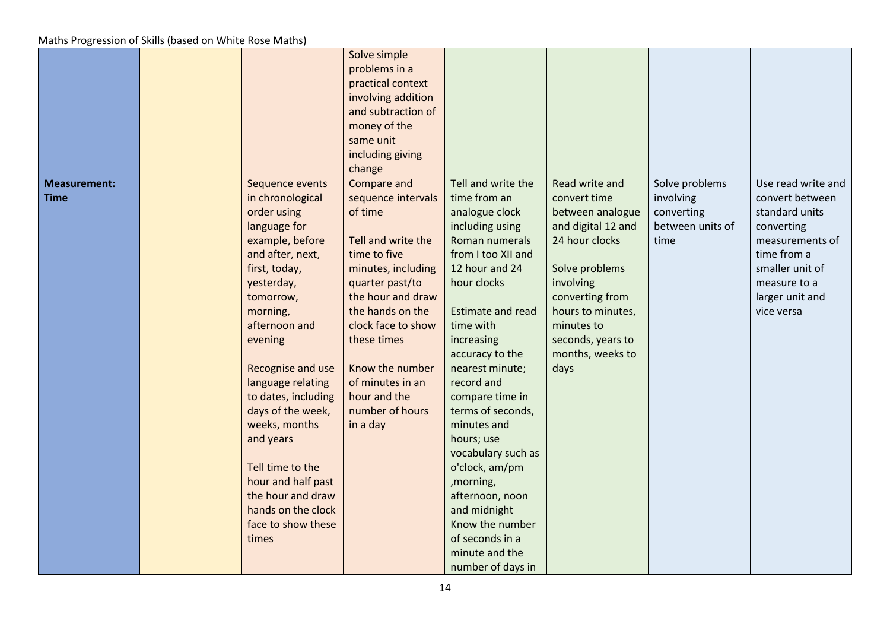|                                    |                                                                                                                                                                                                                                                                                                                                                                                                                                       | Solve simple<br>problems in a<br>practical context<br>involving addition<br>and subtraction of<br>money of the<br>same unit<br>including giving<br>change                                                                                                                                       |                                                                                                                                                                                                                                                                                                                                                                                                                                                                                                       |                                                                                                                                                                                                                                  |                                                                       |                                                                                                                                                                             |
|------------------------------------|---------------------------------------------------------------------------------------------------------------------------------------------------------------------------------------------------------------------------------------------------------------------------------------------------------------------------------------------------------------------------------------------------------------------------------------|-------------------------------------------------------------------------------------------------------------------------------------------------------------------------------------------------------------------------------------------------------------------------------------------------|-------------------------------------------------------------------------------------------------------------------------------------------------------------------------------------------------------------------------------------------------------------------------------------------------------------------------------------------------------------------------------------------------------------------------------------------------------------------------------------------------------|----------------------------------------------------------------------------------------------------------------------------------------------------------------------------------------------------------------------------------|-----------------------------------------------------------------------|-----------------------------------------------------------------------------------------------------------------------------------------------------------------------------|
| <b>Measurement:</b><br><b>Time</b> | Sequence events<br>in chronological<br>order using<br>language for<br>example, before<br>and after, next,<br>first, today,<br>yesterday,<br>tomorrow,<br>morning,<br>afternoon and<br>evening<br>Recognise and use<br>language relating<br>to dates, including<br>days of the week,<br>weeks, months<br>and years<br>Tell time to the<br>hour and half past<br>the hour and draw<br>hands on the clock<br>face to show these<br>times | Compare and<br>sequence intervals<br>of time<br>Tell and write the<br>time to five<br>minutes, including<br>quarter past/to<br>the hour and draw<br>the hands on the<br>clock face to show<br>these times<br>Know the number<br>of minutes in an<br>hour and the<br>number of hours<br>in a day | Tell and write the<br>time from an<br>analogue clock<br>including using<br>Roman numerals<br>from I too XII and<br>12 hour and 24<br>hour clocks<br><b>Estimate and read</b><br>time with<br>increasing<br>accuracy to the<br>nearest minute;<br>record and<br>compare time in<br>terms of seconds,<br>minutes and<br>hours; use<br>vocabulary such as<br>o'clock, am/pm<br>,morning,<br>afternoon, noon<br>and midnight<br>Know the number<br>of seconds in a<br>minute and the<br>number of days in | Read write and<br>convert time<br>between analogue<br>and digital 12 and<br>24 hour clocks<br>Solve problems<br>involving<br>converting from<br>hours to minutes,<br>minutes to<br>seconds, years to<br>months, weeks to<br>days | Solve problems<br>involving<br>converting<br>between units of<br>time | Use read write and<br>convert between<br>standard units<br>converting<br>measurements of<br>time from a<br>smaller unit of<br>measure to a<br>larger unit and<br>vice versa |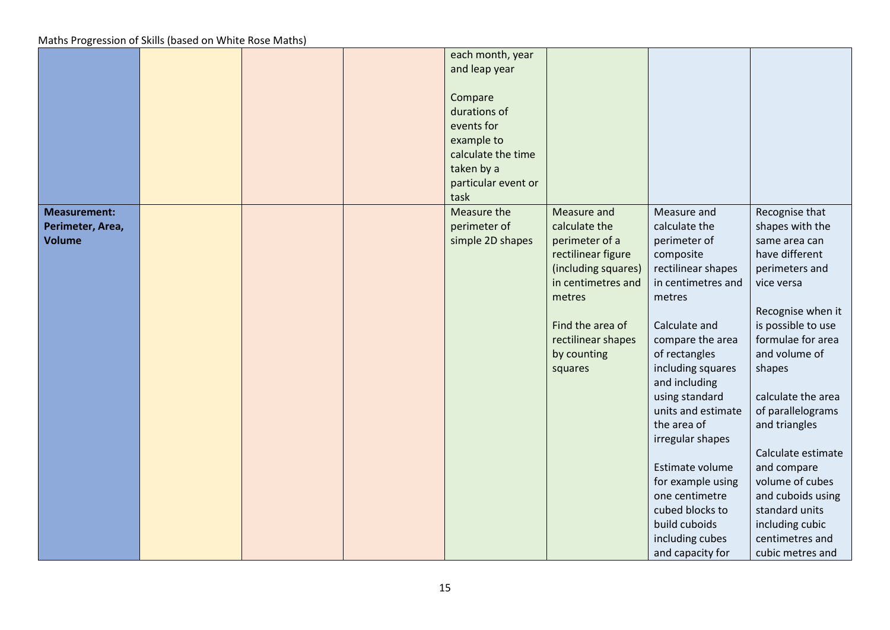|                                                          |  | each month, year<br>and leap year<br>Compare<br>durations of<br>events for<br>example to<br>calculate the time<br>taken by a<br>particular event or<br>task |                                                                                                                                                                                                 |                                                                                                                                                                                                                                                                                                                                                                                                                             |                                                                                                                                                                                                                                                                                                                                                                                                                      |
|----------------------------------------------------------|--|-------------------------------------------------------------------------------------------------------------------------------------------------------------|-------------------------------------------------------------------------------------------------------------------------------------------------------------------------------------------------|-----------------------------------------------------------------------------------------------------------------------------------------------------------------------------------------------------------------------------------------------------------------------------------------------------------------------------------------------------------------------------------------------------------------------------|----------------------------------------------------------------------------------------------------------------------------------------------------------------------------------------------------------------------------------------------------------------------------------------------------------------------------------------------------------------------------------------------------------------------|
| <b>Measurement:</b><br>Perimeter, Area,<br><b>Volume</b> |  | Measure the<br>perimeter of<br>simple 2D shapes                                                                                                             | Measure and<br>calculate the<br>perimeter of a<br>rectilinear figure<br>(including squares)<br>in centimetres and<br>metres<br>Find the area of<br>rectilinear shapes<br>by counting<br>squares | Measure and<br>calculate the<br>perimeter of<br>composite<br>rectilinear shapes<br>in centimetres and<br>metres<br>Calculate and<br>compare the area<br>of rectangles<br>including squares<br>and including<br>using standard<br>units and estimate<br>the area of<br>irregular shapes<br>Estimate volume<br>for example using<br>one centimetre<br>cubed blocks to<br>build cuboids<br>including cubes<br>and capacity for | Recognise that<br>shapes with the<br>same area can<br>have different<br>perimeters and<br>vice versa<br>Recognise when it<br>is possible to use<br>formulae for area<br>and volume of<br>shapes<br>calculate the area<br>of parallelograms<br>and triangles<br>Calculate estimate<br>and compare<br>volume of cubes<br>and cuboids using<br>standard units<br>including cubic<br>centimetres and<br>cubic metres and |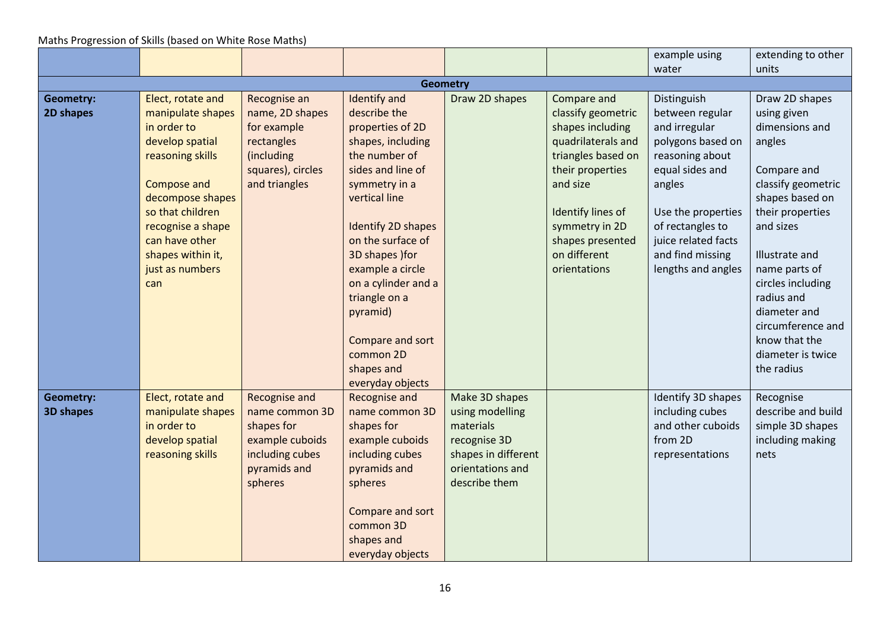|                  |                                  |                                    |                                    |                              |                              | example using                        | extending to other                     |
|------------------|----------------------------------|------------------------------------|------------------------------------|------------------------------|------------------------------|--------------------------------------|----------------------------------------|
|                  |                                  |                                    |                                    |                              |                              | water                                | units                                  |
|                  |                                  |                                    |                                    | <b>Geometry</b>              |                              |                                      |                                        |
| <b>Geometry:</b> | Elect, rotate and                | Recognise an                       | Identify and                       | Draw 2D shapes               | Compare and                  | Distinguish                          | Draw 2D shapes                         |
| 2D shapes        | manipulate shapes                | name, 2D shapes                    | describe the                       |                              | classify geometric           | between regular                      | using given                            |
|                  | in order to                      | for example                        | properties of 2D                   |                              | shapes including             | and irregular                        | dimensions and                         |
|                  | develop spatial                  | rectangles                         | shapes, including                  |                              | quadrilaterals and           | polygons based on                    | angles                                 |
|                  | reasoning skills                 | (including                         | the number of<br>sides and line of |                              | triangles based on           | reasoning about                      |                                        |
|                  | <b>Compose and</b>               | squares), circles<br>and triangles |                                    |                              | their properties<br>and size | equal sides and<br>angles            | Compare and<br>classify geometric      |
|                  | decompose shapes                 |                                    | symmetry in a<br>vertical line     |                              |                              |                                      | shapes based on                        |
|                  | so that children                 |                                    |                                    |                              | Identify lines of            | Use the properties                   | their properties                       |
|                  | recognise a shape                |                                    | Identify 2D shapes                 |                              | symmetry in 2D               | of rectangles to                     | and sizes                              |
|                  | can have other                   |                                    | on the surface of                  |                              | shapes presented             | juice related facts                  |                                        |
|                  | shapes within it,                |                                    | 3D shapes ) for                    |                              | on different                 | and find missing                     | Illustrate and                         |
|                  | just as numbers                  |                                    | example a circle                   |                              | orientations                 | lengths and angles                   | name parts of                          |
|                  | can                              |                                    | on a cylinder and a                |                              |                              |                                      | circles including                      |
|                  |                                  |                                    | triangle on a                      |                              |                              |                                      | radius and                             |
|                  |                                  |                                    | pyramid)                           |                              |                              |                                      | diameter and                           |
|                  |                                  |                                    |                                    |                              |                              |                                      | circumference and                      |
|                  |                                  |                                    | Compare and sort                   |                              |                              |                                      | know that the                          |
|                  |                                  |                                    | common 2D                          |                              |                              |                                      | diameter is twice                      |
|                  |                                  |                                    | shapes and                         |                              |                              |                                      | the radius                             |
|                  |                                  |                                    | everyday objects                   |                              |                              |                                      |                                        |
| Geometry:        | Elect, rotate and                | Recognise and                      | Recognise and                      | Make 3D shapes               |                              | Identify 3D shapes                   | Recognise                              |
| <b>3D shapes</b> | manipulate shapes<br>in order to | name common 3D<br>shapes for       | name common 3D<br>shapes for       | using modelling<br>materials |                              | including cubes<br>and other cuboids | describe and build<br>simple 3D shapes |
|                  | develop spatial                  | example cuboids                    | example cuboids                    | recognise 3D                 |                              | from 2D                              | including making                       |
|                  | reasoning skills                 | including cubes                    | including cubes                    | shapes in different          |                              | representations                      | nets                                   |
|                  |                                  | pyramids and                       | pyramids and                       | orientations and             |                              |                                      |                                        |
|                  |                                  | spheres                            | spheres                            | describe them                |                              |                                      |                                        |
|                  |                                  |                                    |                                    |                              |                              |                                      |                                        |
|                  |                                  |                                    | Compare and sort                   |                              |                              |                                      |                                        |
|                  |                                  |                                    | common 3D                          |                              |                              |                                      |                                        |
|                  |                                  |                                    | shapes and                         |                              |                              |                                      |                                        |
|                  |                                  |                                    | everyday objects                   |                              |                              |                                      |                                        |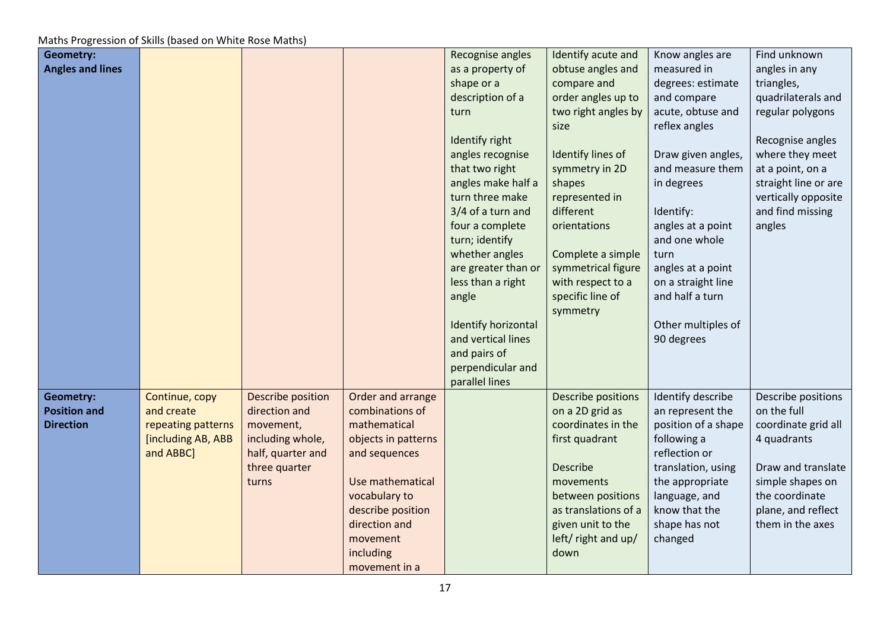| <b>Geometry:</b>        |                    |                   |                     | Recognise angles    | Identify acute and   | Know angles are     | Find unknown         |
|-------------------------|--------------------|-------------------|---------------------|---------------------|----------------------|---------------------|----------------------|
| <b>Angles and lines</b> |                    |                   |                     | as a property of    | obtuse angles and    | measured in         | angles in any        |
|                         |                    |                   |                     | shape or a          | compare and          | degrees: estimate   | triangles,           |
|                         |                    |                   |                     | description of a    | order angles up to   | and compare         | quadrilaterals and   |
|                         |                    |                   |                     | turn                | two right angles by  | acute, obtuse and   | regular polygons     |
|                         |                    |                   |                     |                     | size                 | reflex angles       |                      |
|                         |                    |                   |                     | Identify right      |                      |                     | Recognise angles     |
|                         |                    |                   |                     | angles recognise    | Identify lines of    | Draw given angles,  | where they meet      |
|                         |                    |                   |                     | that two right      | symmetry in 2D       | and measure them    | at a point, on a     |
|                         |                    |                   |                     | angles make half a  | shapes               | in degrees          | straight line or are |
|                         |                    |                   |                     | turn three make     | represented in       |                     | vertically opposite  |
|                         |                    |                   |                     | 3/4 of a turn and   | different            | Identify:           | and find missing     |
|                         |                    |                   |                     | four a complete     | orientations         | angles at a point   | angles               |
|                         |                    |                   |                     | turn; identify      |                      | and one whole       |                      |
|                         |                    |                   |                     | whether angles      | Complete a simple    | turn                |                      |
|                         |                    |                   |                     | are greater than or | symmetrical figure   | angles at a point   |                      |
|                         |                    |                   |                     | less than a right   | with respect to a    | on a straight line  |                      |
|                         |                    |                   |                     | angle               | specific line of     | and half a turn     |                      |
|                         |                    |                   |                     |                     | symmetry             |                     |                      |
|                         |                    |                   |                     | Identify horizontal |                      | Other multiples of  |                      |
|                         |                    |                   |                     | and vertical lines  |                      | 90 degrees          |                      |
|                         |                    |                   |                     | and pairs of        |                      |                     |                      |
|                         |                    |                   |                     | perpendicular and   |                      |                     |                      |
|                         |                    |                   |                     | parallel lines      |                      |                     |                      |
| <b>Geometry:</b>        | Continue, copy     | Describe position | Order and arrange   |                     | Describe positions   | Identify describe   | Describe positions   |
| <b>Position and</b>     | and create         | direction and     | combinations of     |                     | on a 2D grid as      | an represent the    | on the full          |
| <b>Direction</b>        | repeating patterns | movement,         | mathematical        |                     | coordinates in the   | position of a shape | coordinate grid all  |
|                         | [including AB, ABB | including whole,  | objects in patterns |                     | first quadrant       | following a         | 4 quadrants          |
|                         | and ABBC]          | half, quarter and | and sequences       |                     |                      | reflection or       |                      |
|                         |                    | three quarter     |                     |                     | Describe             | translation, using  | Draw and translate   |
|                         |                    | turns             | Use mathematical    |                     | movements            | the appropriate     | simple shapes on     |
|                         |                    |                   | vocabulary to       |                     | between positions    | language, and       | the coordinate       |
|                         |                    |                   | describe position   |                     | as translations of a | know that the       | plane, and reflect   |
|                         |                    |                   | direction and       |                     | given unit to the    | shape has not       | them in the axes     |
|                         |                    |                   | movement            |                     | left/ right and up/  | changed             |                      |
|                         |                    |                   | including           |                     | down                 |                     |                      |
|                         |                    |                   | movement in a       |                     |                      |                     |                      |